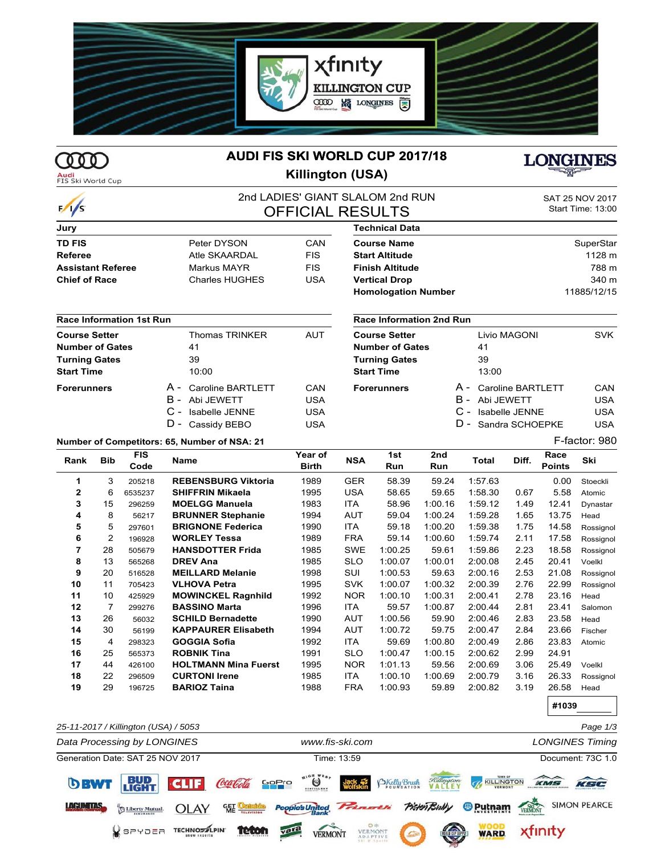

# **AUDI FIS SKI WORLD CUP 2017/18**

**Audi**<br>FIS Ski World Cup

 $\frac{1}{s}$ 

 $\mathbb{Z}$ 

# **Killington (USA)**



**#1039**

## 2nd LADIES' GIANT SLALOM 2nd RUN SAT 25 NOV **OFFICIAL RESULTS**

| SAT 25 NOV 2017   |  |
|-------------------|--|
| Start Time: 13:00 |  |

| Jury                     |                       |            |
|--------------------------|-----------------------|------------|
| <b>TD FIS</b>            | Peter DYSON           | CAN        |
| Referee                  | Atle SKAARDAI         | <b>FIS</b> |
| <b>Assistant Referee</b> | Markus MAYR           | <b>FIS</b> |
| <b>Chief of Race</b>     | <b>Charles HUGHES</b> | USA        |

#### **Race Information 1st Run**

| <b>Course Setter</b>   |  | <b>Thomas TRINKER</b> | AUT |
|------------------------|--|-----------------------|-----|
| <b>Number of Gates</b> |  | 41                    |     |
| <b>Turning Gates</b>   |  | 39                    |     |
| <b>Start Time</b>      |  | 10:00                 |     |
| <b>Forerunners</b>     |  | A - Caroline BARTLETT | CAN |
|                        |  | B - Abi JEWETT        | USA |
|                        |  | C - Isabelle JENNE    | USA |
|                        |  | D - Cassidy BEBO      | USA |

#### **Race Information 2nd Run**

**Technical Data**

| Race Information Zhu Run |              |                                                                                      |
|--------------------------|--------------|--------------------------------------------------------------------------------------|
|                          | Livio MAGONI | <b>SVK</b>                                                                           |
|                          | 41           |                                                                                      |
|                          | 39           |                                                                                      |
|                          | 13:00        |                                                                                      |
|                          |              | CAN<br>USA<br>USA<br>USA                                                             |
|                          |              | A - Caroline BARTLETT<br>B - Abi JEWETT<br>C - Isabelle JENNE<br>D - Sandra SCHOEPKE |

**Course Name** SuperStar **Start Altitude** 1128 m **Finish Altitude** 788 m **Vertical Drop** 340 m **Homologation Number** 11885/12/15

### **Number of Competitors: 65, Number of NSA: 21** F-factor: 980

| Rank | <b>Bib</b>     | <b>FIS</b><br>Code | Name                        | Year of<br><b>Birth</b> | <b>NSA</b> | 1st<br>Run | 2nd<br>Run | Total   | Diff. | Race<br><b>Points</b> | Ski       |
|------|----------------|--------------------|-----------------------------|-------------------------|------------|------------|------------|---------|-------|-----------------------|-----------|
| 1    | 3              | 205218             | <b>REBENSBURG Viktoria</b>  | 1989                    | <b>GER</b> | 58.39      | 59.24      | 1:57.63 |       | 0.00                  | Stoeckli  |
| 2    | 6              | 6535237            | <b>SHIFFRIN Mikaela</b>     | 1995                    | <b>USA</b> | 58.65      | 59.65      | 1:58.30 | 0.67  | 5.58                  | Atomic    |
| 3    | 15             | 296259             | <b>MOELGG Manuela</b>       | 1983                    | <b>ITA</b> | 58.96      | 1:00.16    | 1:59.12 | 1.49  | 12.41                 | Dynastar  |
| 4    | 8              | 56217              | <b>BRUNNER Stephanie</b>    | 1994                    | AUT        | 59.04      | 1:00.24    | 1:59.28 | 1.65  | 13.75                 | Head      |
| 5    | 5              | 297601             | <b>BRIGNONE Federica</b>    | 1990                    | <b>ITA</b> | 59.18      | 1:00.20    | 1:59.38 | 1.75  | 14.58                 | Rossignol |
| 6    | 2              | 196928             | <b>WORLEY Tessa</b>         | 1989                    | <b>FRA</b> | 59.14      | 1:00.60    | 1:59.74 | 2.11  | 17.58                 | Rossignol |
| 7    | 28             | 505679             | <b>HANSDOTTER Frida</b>     | 1985                    | <b>SWE</b> | 1:00.25    | 59.61      | 1:59.86 | 2.23  | 18.58                 | Rossignol |
| 8    | 13             | 565268             | <b>DREV Ana</b>             | 1985                    | <b>SLO</b> | 1:00.07    | 1:00.01    | 2:00.08 | 2.45  | 20.41                 | Voelkl    |
| 9    | 20             | 516528             | <b>MEILLARD Melanie</b>     | 1998                    | SUI        | 1:00.53    | 59.63      | 2:00.16 | 2.53  | 21.08                 | Rossignol |
| 10   | 11             | 705423             | <b>VLHOVA Petra</b>         | 1995                    | <b>SVK</b> | 1:00.07    | 1:00.32    | 2:00.39 | 2.76  | 22.99                 | Rossignol |
| 11   | 10             | 425929             | <b>MOWINCKEL Ragnhild</b>   | 1992                    | <b>NOR</b> | 1:00.10    | 1:00.31    | 2:00.41 | 2.78  | 23.16                 | Head      |
| 12   | $\overline{7}$ | 299276             | <b>BASSINO Marta</b>        | 1996                    | <b>ITA</b> | 59.57      | 1:00.87    | 2:00.44 | 2.81  | 23.41                 | Salomon   |
| 13   | 26             | 56032              | <b>SCHILD Bernadette</b>    | 1990                    | <b>AUT</b> | 1:00.56    | 59.90      | 2:00.46 | 2.83  | 23.58                 | Head      |
| 14   | 30             | 56199              | <b>KAPPAURER Elisabeth</b>  | 1994                    | AUT        | 1:00.72    | 59.75      | 2:00.47 | 2.84  | 23.66                 | Fischer   |
| 15   | 4              | 298323             | <b>GOGGIA Sofia</b>         | 1992                    | <b>ITA</b> | 59.69      | 1:00.80    | 2:00.49 | 2.86  | 23.83                 | Atomic    |
| 16   | 25             | 565373             | <b>ROBNIK Tina</b>          | 1991                    | <b>SLO</b> | 1:00.47    | 1:00.15    | 2:00.62 | 2.99  | 24.91                 |           |
| 17   | 44             | 426100             | <b>HOLTMANN Mina Fuerst</b> | 1995                    | <b>NOR</b> | 1:01.13    | 59.56      | 2:00.69 | 3.06  | 25.49                 | Voelkl    |
| 18   | 22             | 296509             | <b>CURTONI Irene</b>        | 1985                    | <b>ITA</b> | 1:00.10    | 1:00.69    | 2:00.79 | 3.16  | 26.33                 | Rossignol |
| 19   | 29             | 196725             | <b>BARIOZ Taina</b>         | 1988                    | <b>FRA</b> | 1:00.93    | 59.89      | 2:00.82 | 3.19  | 26.58                 | Head      |

*25-11-2017 / Killington (USA) / 5053 Page 1/3 Data Processing by LONGINES www.fis-ski.com LONGINES Timing* Generation Date: SAT 25 NOV 2017 Time: 13:59 Document: 73C 1.0**BUD**<br>LIGHT KILLINGTON KMS KSC DBWT Ö BKelly Brush **CLIF** Coca Cola **SIMON PEARCE LAGUNTIAS** *<b>@Putnam* **OLAY** ple's United ٩ĘŢ *Pictori Bi* Liberty Mutual. SPYDER TECHNORALPIN **teton** xfinity **WARD**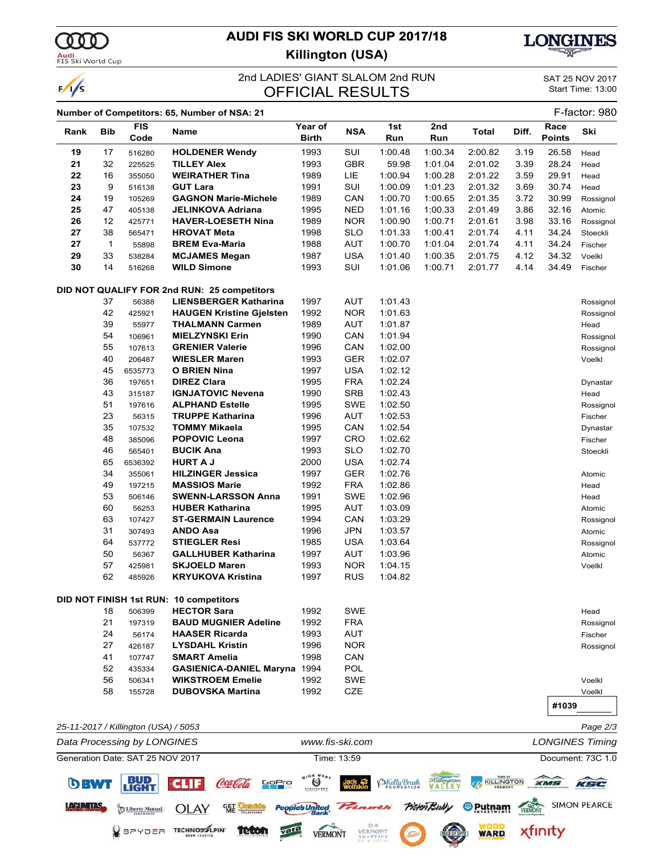# **AUDI FIS SKI WORLD CUP 2017/18**



000)

**LACUMTAS-**

**OLAY** 

**TECHNOSTLPIN** 

Liberty Mutual  $Q$ spybea **GET** 

**teton** 

 $\frac{1}{s}$ 

### **Killington (USA)**



## 2nd LADIES' GIANT SLALOM 2nd RUN SAT 25 NOV 2017<br> **OEEICIAL DESLILTS** Start Time: 13:00 **OFFICIAL RESULTS**

**SIMON PEARCE** 

xfinity

**<sup>®</sup>** Putnam

**WARD.** 

**Bisten Buth** 

#### **Number of Competitors: 65, Number of NSA: 21** F-factor: 980 **Rank Bib FIS Year of Name NSA 1st 2nd Total Diff. Race Ski Code Birth Run Run Points 19** 17 516280 **HOLDENER Wendy** 1993 SUI 1:00.48 1:00.34 2:00.82 3.19 26.58 Head **21** 32 225525 **TILLEY Alex** 1993 GBR 59.98 1:01.04 2:01.02 3.39 28.24 Head **22** 16 355050 **WEIRATHER Tina** 1989 LIE 1:00.94 1:00.28 2:01.22 3.59 29.91 Head **23** 9 516138 **GUT Lara** 1991 SUI 1:00.09 1:01.23 2:01.32 3.69 30.74 Head **24** 19 105269 **GAGNON Marie-Michele** 1989 CAN 1:00.70 1:00.65 2:01.35 3.72 30.99 Rossignol **25** 47 405138 **JELINKOVA Adriana** 1995 NED 1:01.16 1:00.33 2:01.49 3.86 32.16 Atomic **26** 12 425771 **HAVER-LOESETH Nina** 1989 NOR 1:00.90 1:00.71 2:01.61 3.98 33.16 Rossignol **27** 38 565471 **HROVAT Meta** 1998 SLO 1:01.33 1:00.41 2:01.74 4.11 34.24 Stoeckli **27** 1 55898 **BREM Eva-Maria** 1988 AUT 1:00.70 1:01.04 2:01.74 4.11 34.24 Fischer **29** 33 538284 **MCJAMES Megan** 1987 USA 1:01.40 1:00.35 2:01.75 4.12 34.32 Voelkl **30** 14 516268 **WILD Simone** 1993 SUI 1:01.06 1:00.71 2:01.77 4.14 34.49 Fischer **DID NOT QUALIFY FOR 2nd RUN: 25 competitors** 37 56388 **LIENSBERGER Katharina** 1997 AUT 1:01.43 Rossignol 42 425921 **HAUGEN Kristine Gjelsten** 1992 NOR 1:01.63 Rossignol 39 55977 **THALMANN Carmen** 1989 AUT 1:01.87 Head 54 106961 **MIELZYNSKI Erin** 1990 CAN 1:01.94 Rossignol 55 107613 **GRENIER Valerie** 1996 CAN 1:02.00 Rossignol 40 206487 **WIESLER Maren** 1993 GER 1:02.07 Voelkl 45 6535773 **O BRIEN Nina** 1997 USA 1:02.12 36 197651 **DIREZ Clara** 1995 FRA 1:02.24 Dynastar 43 315187 **IGNJATOVIC Nevena** 1990 SRB 1:02.43 Head 51 197616 **ALPHAND Estelle** 1995 SWE 1:02.50 Rossignol 23 56315 **TRUPPE Katharina** 1996 AUT 1:02.53 Fischer 35 107532 **TOMMY Mikaela** 1995 CAN 1:02.54 Dynastar 48 385096 **POPOVIC Leona** 1997 CRO 1:02.62 Fischer 46 565401 **BUCIK Ana** 1993 SLO 1:02.70 Stoeckli 65 6536392 **HURT A J** 2000 USA 1:02.74 34 355061 **HILZINGER Jessica** 1997 GER 1:02.76 **Atomic** Atomic 49 197215 **MASSIOS Marie** 1992 FRA 1:02.86 Head 53 506146 **SWENN-LARSSON Anna** 1991 SWE 1:02.96 Head 60 56253 **HUBER Katharina** 1995 AUT 1:03.09 Atomic 63 107427 **ST-GERMAIN Laurence** 1994 CAN 1:03.29 Rossignol 31 307493 **ANDO Asa** 1996 JPN 1:03.57 Atomic 64 537772 **STIEGLER Resi** 1985 USA 1:03.64 Rossignol 50 56367 **GALLHUBER Katharina** 1997 AUT 1:03.96 Atomic 57 425981 **SKJOELD Maren** 1993 NOR 1:04.15 Voelkl 62 485926 **KRYUKOVA Kristina** 1997 RUS 1:04.82 **DID NOT FINISH 1st RUN: 10 competitors** 18 506399 **HECTOR Sara** 1992 SWE Head 21 197319 **BAUD MUGNIER Adeline** 1992 FRA **Rossignol** Rossignol 24 56174 **HAASER Ricarda** 1993 AUT Fischer 27 426187 **LYSDAHL Kristin** 1996 NOR Rossignol 41 107747 **SMART Amelia** 1998 CAN 52 435334 **GASIENICA-DANIEL Maryna** 1994 POL 56 506341 **WIKSTROEM Emelie** 1992 SWE Voelkl 58 155728 **DUBOVSKA Martina** 1992 CZE Voelkl **#1039** *25-11-2017 / Killington (USA) / 5053 Page 2/3 Data Processing by LONGINES www.fis-ski.com LONGINES Timing* Generation Date: SAT 25 NOV 2017 Time: 13:59 Document: 73C 1.0  $\bigotimes_{n_{1}\circ n}$ **BUD**<br>LIGHT BKelly Brush KILLINGTON KMS **DBW1** Coca Cola KSC GoPro

People's United

**VERMONT** 

vara